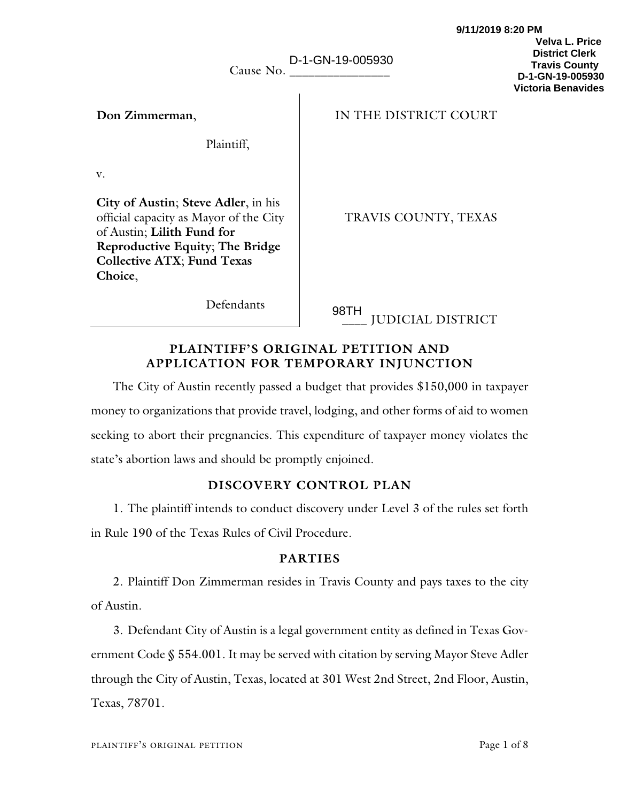| Cause No.                                                                                                                                                                                      | D-1-GN-19-005930                 | <b>Velva L. Price</b><br><b>District Clerk</b><br><b>Travis County</b><br>D-1-GN-19-005930<br><b>Victoria Benavides</b> |
|------------------------------------------------------------------------------------------------------------------------------------------------------------------------------------------------|----------------------------------|-------------------------------------------------------------------------------------------------------------------------|
| Don Zimmerman,                                                                                                                                                                                 | IN THE DISTRICT COURT            |                                                                                                                         |
| Plaintiff,                                                                                                                                                                                     |                                  |                                                                                                                         |
| V.                                                                                                                                                                                             |                                  |                                                                                                                         |
| City of Austin; Steve Adler, in his<br>official capacity as Mayor of the City<br>of Austin; Lilith Fund for<br>Reproductive Equity; The Bridge<br><b>Collective ATX; Fund Texas</b><br>Choice, | TRAVIS COUNTY, TEXAS             |                                                                                                                         |
| Defendants                                                                                                                                                                                     | 98TH<br><b>HIDIOLLI DICTRIOT</b> |                                                                                                                         |

\_\_\_\_ JUDICIAL DISTRICT

**9/11/2019 8:20 PM** 

## **PLAINTIFF'S ORIGINAL PETITION AND APPLICATION FOR TEMPORARY INJUNCTION**

The City of Austin recently passed a budget that provides \$150,000 in taxpayer money to organizations that provide travel, lodging, and other forms of aid to women seeking to abort their pregnancies. This expenditure of taxpayer money violates the state's abortion laws and should be promptly enjoined.

# **DISCOVERY CONTROL PLAN**

1. The plaintiff intends to conduct discovery under Level 3 of the rules set forth in Rule 190 of the Texas Rules of Civil Procedure.

# **PARTIES**

2. Plaintiff Don Zimmerman resides in Travis County and pays taxes to the city of Austin.

3. Defendant City of Austin is a legal government entity as defined in Texas Government Code § 554.001. It may be served with citation by serving Mayor Steve Adler through the City of Austin, Texas, located at 301 West 2nd Street, 2nd Floor, Austin, Texas, 78701.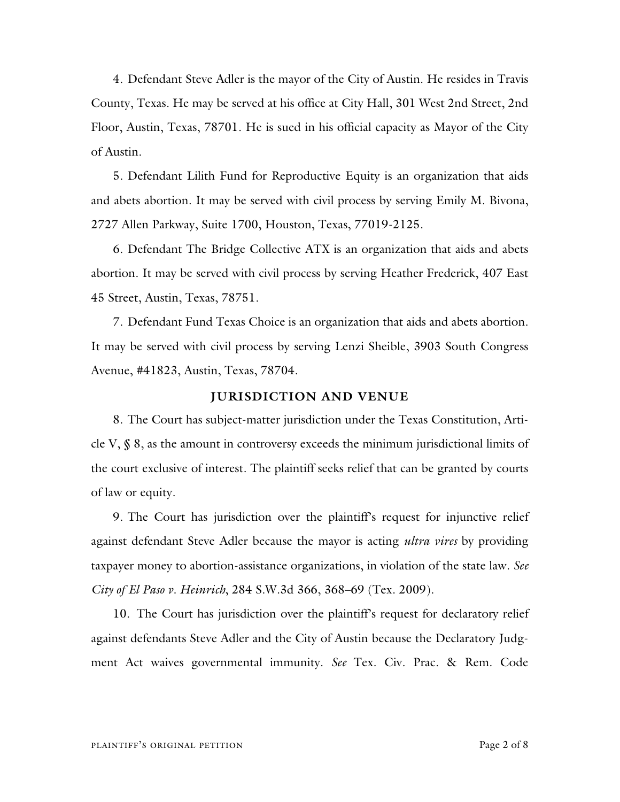4. Defendant Steve Adler is the mayor of the City of Austin. He resides in Travis County, Texas. He may be served at his office at City Hall, 301 West 2nd Street, 2nd Floor, Austin, Texas, 78701. He is sued in his official capacity as Mayor of the City of Austin.

5. Defendant Lilith Fund for Reproductive Equity is an organization that aids and abets abortion. It may be served with civil process by serving Emily M. Bivona, 2727 Allen Parkway, Suite 1700, Houston, Texas, 77019-2125.

6. Defendant The Bridge Collective ATX is an organization that aids and abets abortion. It may be served with civil process by serving Heather Frederick, 407 East 45 Street, Austin, Texas, 78751.

7. Defendant Fund Texas Choice is an organization that aids and abets abortion. It may be served with civil process by serving Lenzi Sheible, 3903 South Congress Avenue, #41823, Austin, Texas, 78704.

### **JURISDICTION AND VENUE**

8. The Court has subject-matter jurisdiction under the Texas Constitution, Article V, § 8, as the amount in controversy exceeds the minimum jurisdictional limits of the court exclusive of interest. The plaintiff seeks relief that can be granted by courts of law or equity.

9. The Court has jurisdiction over the plaintiff's request for injunctive relief against defendant Steve Adler because the mayor is acting *ultra vires* by providing taxpayer money to abortion-assistance organizations, in violation of the state law. *See City of El Paso v. Heinrich*, 284 S.W.3d 366, 368–69 (Tex. 2009).

10. The Court has jurisdiction over the plaintiff's request for declaratory relief against defendants Steve Adler and the City of Austin because the Declaratory Judgment Act waives governmental immunity. *See* Tex. Civ. Prac. & Rem. Code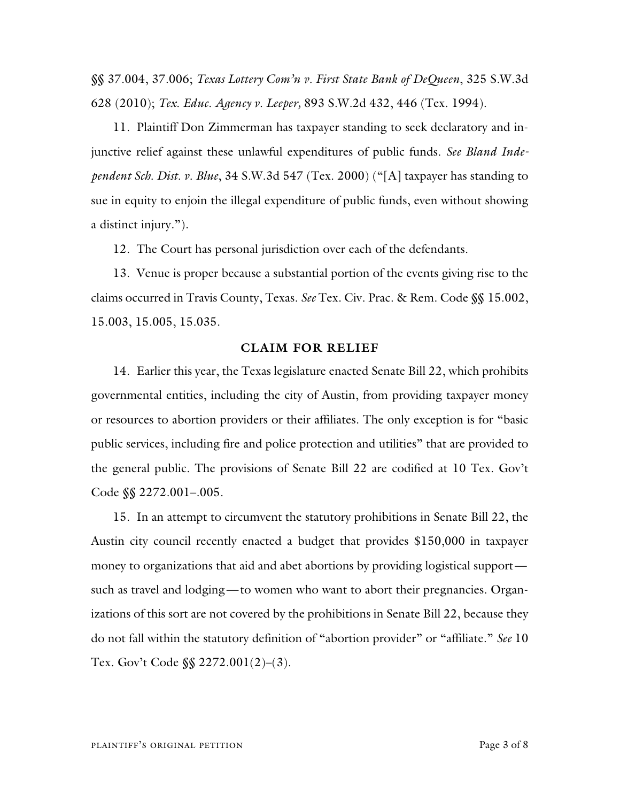§§ 37.004, 37.006; *Texas Lottery Com'n v. First State Bank of DeQueen*, 325 S.W.3d 628 (2010); *Tex. Educ. Agency v. Leeper,* 893 S.W.2d 432, 446 (Tex. 1994).

11. Plaintiff Don Zimmerman has taxpayer standing to seek declaratory and injunctive relief against these unlawful expenditures of public funds. *See Bland Independent Sch. Dist. v. Blue*, 34 S.W.3d 547 (Tex. 2000) ("[A] taxpayer has standing to sue in equity to enjoin the illegal expenditure of public funds, even without showing a distinct injury.").

12. The Court has personal jurisdiction over each of the defendants.

13. Venue is proper because a substantial portion of the events giving rise to the claims occurred in Travis County, Texas. *See* Tex. Civ. Prac. & Rem. Code §§ 15.002, 15.003, 15.005, 15.035.

#### **CLAIM FOR RELIEF**

14. Earlier this year, the Texas legislature enacted Senate Bill 22, which prohibits governmental entities, including the city of Austin, from providing taxpayer money or resources to abortion providers or their affiliates. The only exception is for "basic public services, including fire and police protection and utilities" that are provided to the general public. The provisions of Senate Bill 22 are codified at 10 Tex. Gov't Code §§ 2272.001–.005.

15. In an attempt to circumvent the statutory prohibitions in Senate Bill 22, the Austin city council recently enacted a budget that provides \$150,000 in taxpayer money to organizations that aid and abet abortions by providing logistical support such as travel and lodging—to women who want to abort their pregnancies. Organizations of this sort are not covered by the prohibitions in Senate Bill 22, because they do not fall within the statutory definition of "abortion provider" or "affiliate." *See* 10 Tex. Gov't Code §§ 2272.001(2)–(3).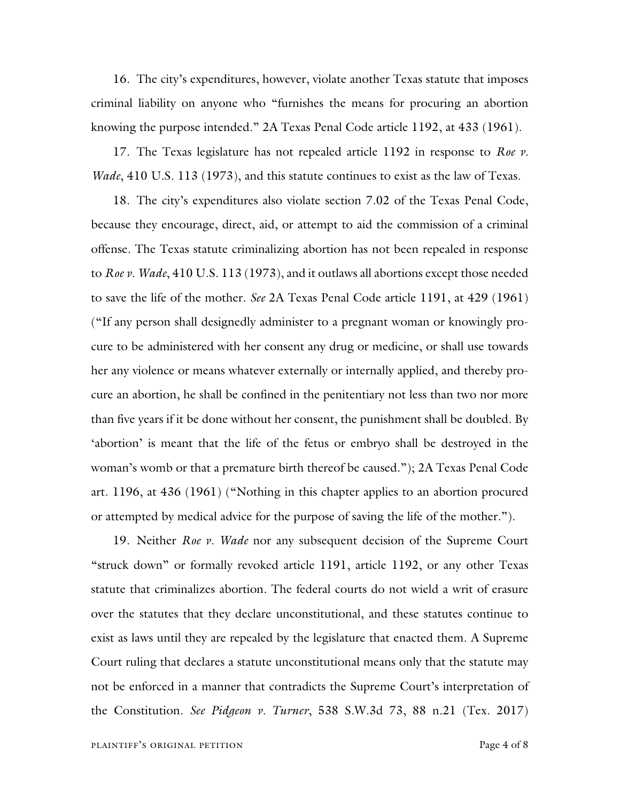16. The city's expenditures, however, violate another Texas statute that imposes criminal liability on anyone who "furnishes the means for procuring an abortion knowing the purpose intended." 2A Texas Penal Code article 1192, at 433 (1961).

17. The Texas legislature has not repealed article 1192 in response to *Roe v. Wade*, 410 U.S. 113 (1973), and this statute continues to exist as the law of Texas.

18. The city's expenditures also violate section 7.02 of the Texas Penal Code, because they encourage, direct, aid, or attempt to aid the commission of a criminal offense. The Texas statute criminalizing abortion has not been repealed in response to *Roe v. Wade*, 410 U.S. 113 (1973), and it outlaws all abortions except those needed to save the life of the mother. *See* 2A Texas Penal Code article 1191, at 429 (1961) ("If any person shall designedly administer to a pregnant woman or knowingly procure to be administered with her consent any drug or medicine, or shall use towards her any violence or means whatever externally or internally applied, and thereby procure an abortion, he shall be confined in the penitentiary not less than two nor more than five years if it be done without her consent, the punishment shall be doubled. By 'abortion' is meant that the life of the fetus or embryo shall be destroyed in the woman's womb or that a premature birth thereof be caused."); 2A Texas Penal Code art. 1196, at 436 (1961) ("Nothing in this chapter applies to an abortion procured or attempted by medical advice for the purpose of saving the life of the mother.").

19. Neither *Roe v. Wade* nor any subsequent decision of the Supreme Court "struck down" or formally revoked article 1191, article 1192, or any other Texas statute that criminalizes abortion. The federal courts do not wield a writ of erasure over the statutes that they declare unconstitutional, and these statutes continue to exist as laws until they are repealed by the legislature that enacted them. A Supreme Court ruling that declares a statute unconstitutional means only that the statute may not be enforced in a manner that contradicts the Supreme Court's interpretation of the Constitution. *See Pidgeon v. Turner*, 538 S.W.3d 73, 88 n.21 (Tex. 2017)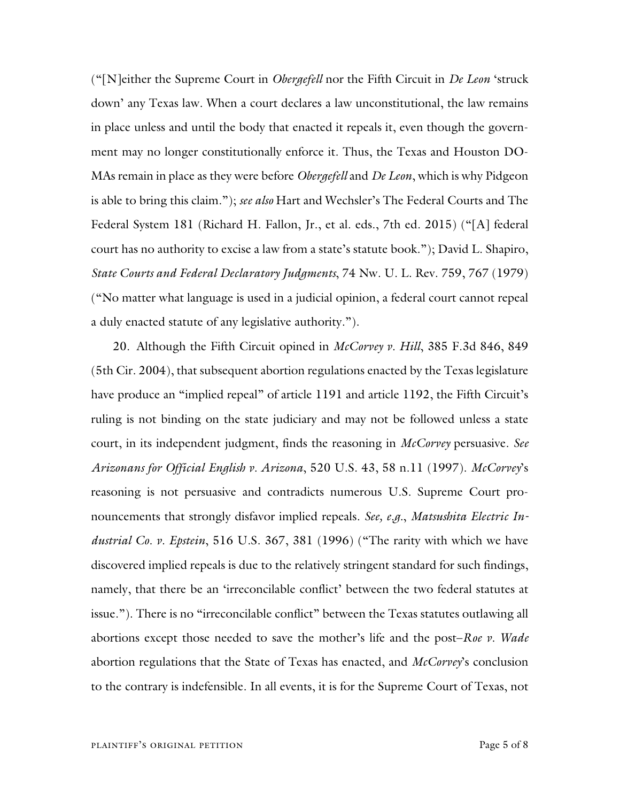("[N]either the Supreme Court in *Obergefell* nor the Fifth Circuit in *De Leon* 'struck down' any Texas law. When a court declares a law unconstitutional, the law remains in place unless and until the body that enacted it repeals it, even though the government may no longer constitutionally enforce it. Thus, the Texas and Houston DO-MAs remain in place as they were before *Obergefell* and *De Leon*, which is why Pidgeon is able to bring this claim."); *see also* Hart and Wechsler's The Federal Courts and The Federal System 181 (Richard H. Fallon, Jr., et al. eds., 7th ed. 2015) ("[A] federal court has no authority to excise a law from a state's statute book."); David L. Shapiro, *State Courts and Federal Declaratory Judgments*, 74 Nw. U. L. Rev. 759, 767 (1979) ("No matter what language is used in a judicial opinion, a federal court cannot repeal a duly enacted statute of any legislative authority.").

20. Although the Fifth Circuit opined in *McCorvey v. Hill*, 385 F.3d 846, 849 (5th Cir. 2004), that subsequent abortion regulations enacted by the Texas legislature have produce an "implied repeal" of article 1191 and article 1192, the Fifth Circuit's ruling is not binding on the state judiciary and may not be followed unless a state court, in its independent judgment, finds the reasoning in *McCorvey* persuasive. *See Arizonans for Official English v. Arizona*, 520 U.S. 43, 58 n.11 (1997). *McCorvey*'s reasoning is not persuasive and contradicts numerous U.S. Supreme Court pronouncements that strongly disfavor implied repeals. *See, e.g.*, *Matsushita Electric Industrial Co. v. Epstein*, 516 U.S. 367, 381 (1996) ("The rarity with which we have discovered implied repeals is due to the relatively stringent standard for such findings, namely, that there be an 'irreconcilable conflict' between the two federal statutes at issue."). There is no "irreconcilable conflict" between the Texas statutes outlawing all abortions except those needed to save the mother's life and the post–*Roe v. Wade* abortion regulations that the State of Texas has enacted, and *McCorvey*'s conclusion to the contrary is indefensible. In all events, it is for the Supreme Court of Texas, not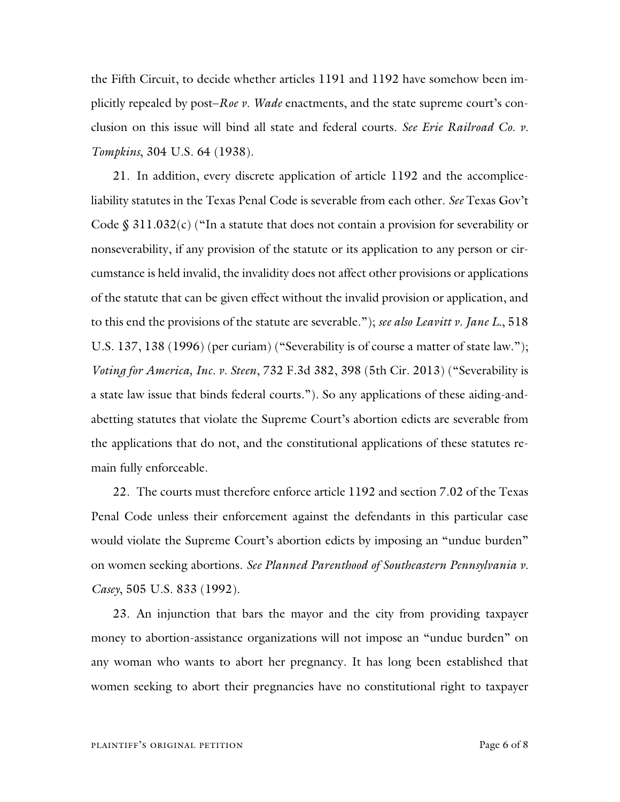the Fifth Circuit, to decide whether articles 1191 and 1192 have somehow been implicitly repealed by post–*Roe v. Wade* enactments, and the state supreme court's conclusion on this issue will bind all state and federal courts. *See Erie Railroad Co. v. Tompkins*, 304 U.S. 64 (1938).

21. In addition, every discrete application of article 1192 and the accompliceliability statutes in the Texas Penal Code is severable from each other. *See* Texas Gov't Code  $\S 311.032(c)$  ("In a statute that does not contain a provision for severability or nonseverability, if any provision of the statute or its application to any person or circumstance is held invalid, the invalidity does not affect other provisions or applications of the statute that can be given effect without the invalid provision or application, and to this end the provisions of the statute are severable."); *see also Leavitt v. Jane L.*, 518 U.S. 137, 138 (1996) (per curiam) ("Severability is of course a matter of state law."); *Voting for America, Inc. v. Steen*, 732 F.3d 382, 398 (5th Cir. 2013) ("Severability is a state law issue that binds federal courts."). So any applications of these aiding-andabetting statutes that violate the Supreme Court's abortion edicts are severable from the applications that do not, and the constitutional applications of these statutes remain fully enforceable.

22. The courts must therefore enforce article 1192 and section 7.02 of the Texas Penal Code unless their enforcement against the defendants in this particular case would violate the Supreme Court's abortion edicts by imposing an "undue burden" on women seeking abortions. *See Planned Parenthood of Southeastern Pennsylvania v. Casey*, 505 U.S. 833 (1992).

23. An injunction that bars the mayor and the city from providing taxpayer money to abortion-assistance organizations will not impose an "undue burden" on any woman who wants to abort her pregnancy. It has long been established that women seeking to abort their pregnancies have no constitutional right to taxpayer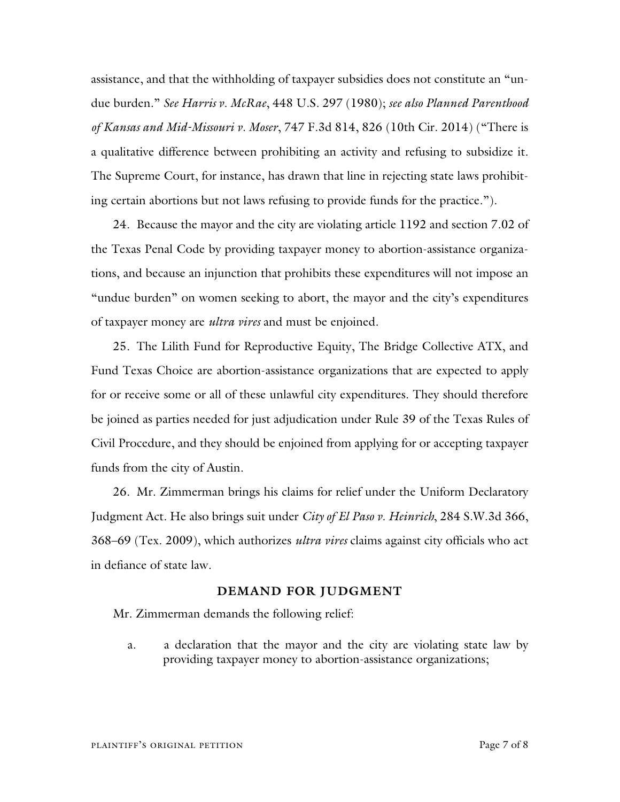assistance, and that the withholding of taxpayer subsidies does not constitute an "undue burden." *See Harris v. McRae*, 448 U.S. 297 (1980); *see also Planned Parenthood of Kansas and Mid-Missouri v. Moser*, 747 F.3d 814, 826 (10th Cir. 2014) ("There is a qualitative difference between prohibiting an activity and refusing to subsidize it. The Supreme Court, for instance, has drawn that line in rejecting state laws prohibiting certain abortions but not laws refusing to provide funds for the practice.").

24. Because the mayor and the city are violating article 1192 and section 7.02 of the Texas Penal Code by providing taxpayer money to abortion-assistance organizations, and because an injunction that prohibits these expenditures will not impose an "undue burden" on women seeking to abort, the mayor and the city's expenditures of taxpayer money are *ultra vires* and must be enjoined.

25. The Lilith Fund for Reproductive Equity, The Bridge Collective ATX, and Fund Texas Choice are abortion-assistance organizations that are expected to apply for or receive some or all of these unlawful city expenditures. They should therefore be joined as parties needed for just adjudication under Rule 39 of the Texas Rules of Civil Procedure, and they should be enjoined from applying for or accepting taxpayer funds from the city of Austin.

26. Mr. Zimmerman brings his claims for relief under the Uniform Declaratory Judgment Act. He also brings suit under *City of El Paso v. Heinrich*, 284 S.W.3d 366, 368–69 (Tex. 2009), which authorizes *ultra vires* claims against city officials who act in defiance of state law.

#### **DEMAND FOR JUDGMENT**

Mr. Zimmerman demands the following relief:

a. a declaration that the mayor and the city are violating state law by providing taxpayer money to abortion-assistance organizations;